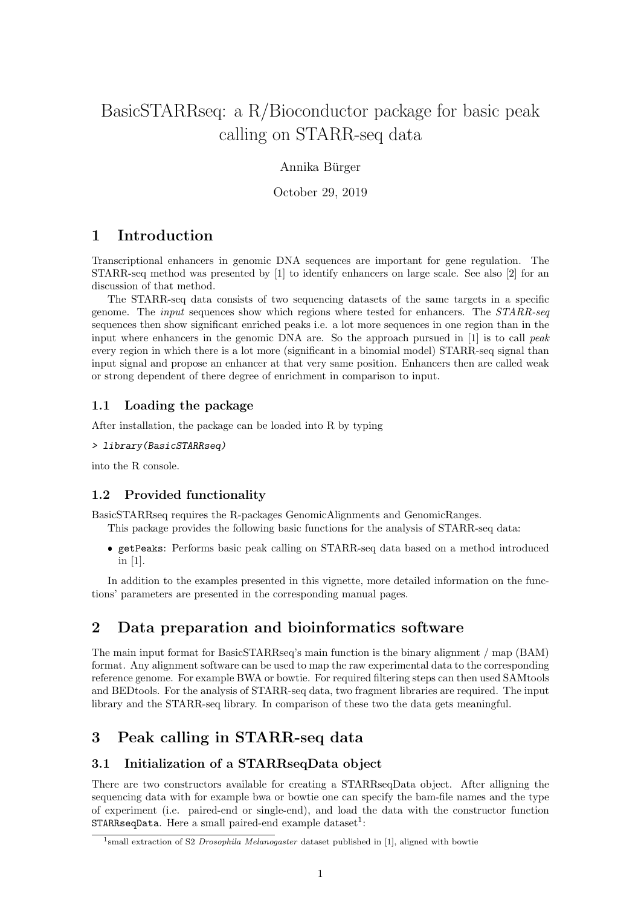# BasicSTARRseq: a R/Bioconductor package for basic peak calling on STARR-seq data

Annika Bürger

October 29, 2019

### 1 Introduction

Transcriptional enhancers in genomic DNA sequences are important for gene regulation. The STARR-seq method was presented by [1] to identify enhancers on large scale. See also [2] for an discussion of that method.

The STARR-seq data consists of two sequencing datasets of the same targets in a specific genome. The input sequences show which regions where tested for enhancers. The STARR-seq sequences then show significant enriched peaks i.e. a lot more sequences in one region than in the input where enhancers in the genomic DNA are. So the approach pursued in  $[1]$  is to call peak every region in which there is a lot more (significant in a binomial model) STARR-seq signal than input signal and propose an enhancer at that very same position. Enhancers then are called weak or strong dependent of there degree of enrichment in comparison to input.

#### 1.1 Loading the package

After installation, the package can be loaded into R by typing

> library(BasicSTARRseq)

into the R console.

#### 1.2 Provided functionality

BasicSTARRseq requires the R-packages GenomicAlignments and GenomicRanges. This package provides the following basic functions for the analysis of STARR-seq data:

 getPeaks: Performs basic peak calling on STARR-seq data based on a method introduced in [1].

In addition to the examples presented in this vignette, more detailed information on the functions' parameters are presented in the corresponding manual pages.

### 2 Data preparation and bioinformatics software

The main input format for BasicSTARRseq's main function is the binary alignment / map (BAM) format. Any alignment software can be used to map the raw experimental data to the corresponding reference genome. For example BWA or bowtie. For required filtering steps can then used SAMtools and BEDtools. For the analysis of STARR-seq data, two fragment libraries are required. The input library and the STARR-seq library. In comparison of these two the data gets meaningful.

### 3 Peak calling in STARR-seq data

#### 3.1 Initialization of a STARRseqData object

There are two constructors available for creating a STARRseqData object. After alligning the sequencing data with for example bwa or bowtie one can specify the bam-file names and the type of experiment (i.e. paired-end or single-end), and load the data with the constructor function  $\texttt{STARRseqData}.$  Here a small paired-end example  $\text{dataset}^1 \text{:}$ 

<sup>&</sup>lt;sup>1</sup>small extraction of S2 Drosophila Melanogaster dataset published in [1], aligned with bowtie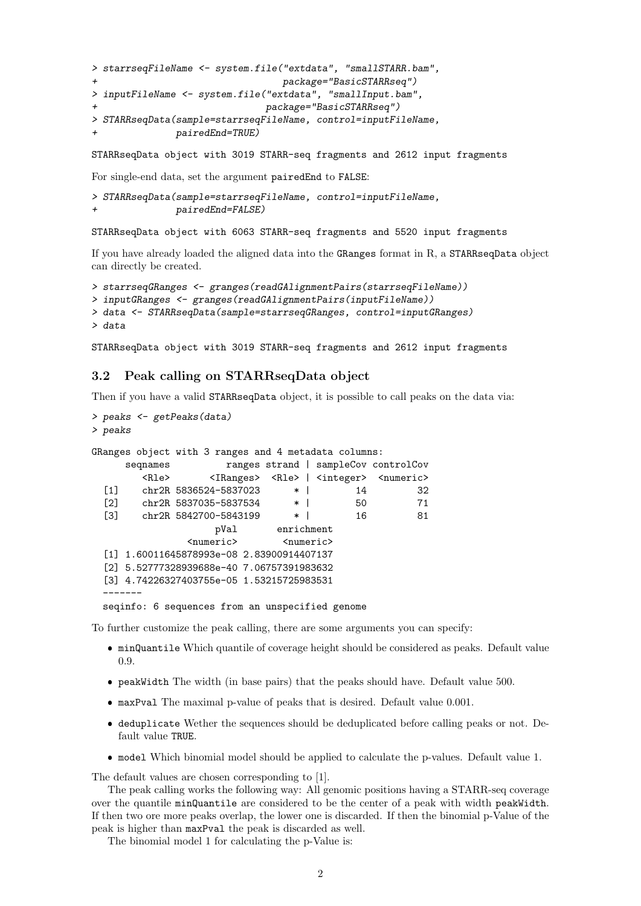```
> starrseqFileName <- system.file("extdata", "smallSTARR.bam",
+ package="BasicSTARRseq")
> inputFileName <- system.file("extdata", "smallInput.bam",
                           package="BasicSTARRseq")
> STARRseqData(sample=starrseqFileName, control=inputFileName,
             pairedEnd=TRUE)
```
STARRseqData object with 3019 STARR-seq fragments and 2612 input fragments

For single-end data, set the argument pairedEnd to FALSE:

```
> STARRseqData(sample=starrseqFileName, control=inputFileName,
               pairedEnd=FALSE)
```
STARRseqData object with 6063 STARR-seq fragments and 5520 input fragments

If you have already loaded the aligned data into the GRanges format in R, a STARRseqData object can directly be created.

```
> starrseqGRanges <- granges(readGAlignmentPairs(starrseqFileName))
> inputGRanges <- granges(readGAlignmentPairs(inputFileName))
> data <- STARRseqData(sample=starrseqGRanges, control=inputGRanges)
> data
```
STARRseqData object with 3019 STARR-seq fragments and 2612 input fragments

#### 3.2 Peak calling on STARRseqData object

Then if you have a valid STARRseqData object, it is possible to call peaks on the data via:

```
> peaks <- getPeaks(data)
> peaks
GRanges object with 3 ranges and 4 metadata columns:
     seqnames ranges strand | sampleCov controlCov
       <Rle> <IRanges> <Rle> | <integer> <numeric>
 [1] chr2R 5836524-5837023 * | 14 32
 [2] chr2R 5837035-5837534 * | 50 71
 [3] chr2R 5842700-5843199 * | 16 81
                  pVal enrichment
              <numeric> <numeric>
 [1] 1.60011645878993e-08 2.83900914407137
 [2] 5.52777328939688e-40 7.06757391983632
 [3] 4.74226327403755e-05 1.53215725983531
 -------
 seqinfo: 6 sequences from an unspecified genome
```
To further customize the peak calling, there are some arguments you can specify:

- minQuantile Which quantile of coverage height should be considered as peaks. Default value 0.9.
- peakWidth The width (in base pairs) that the peaks should have. Default value 500.
- maxPval The maximal p-value of peaks that is desired. Default value 0.001.
- deduplicate Wether the sequences should be deduplicated before calling peaks or not. Default value TRUE.
- model Which binomial model should be applied to calculate the p-values. Default value 1.

The default values are chosen corresponding to [1].

The peak calling works the following way: All genomic positions having a STARR-seq coverage over the quantile minQuantile are considered to be the center of a peak with width peakWidth. If then two ore more peaks overlap, the lower one is discarded. If then the binomial p-Value of the peak is higher than maxPval the peak is discarded as well.

The binomial model 1 for calculating the p-Value is: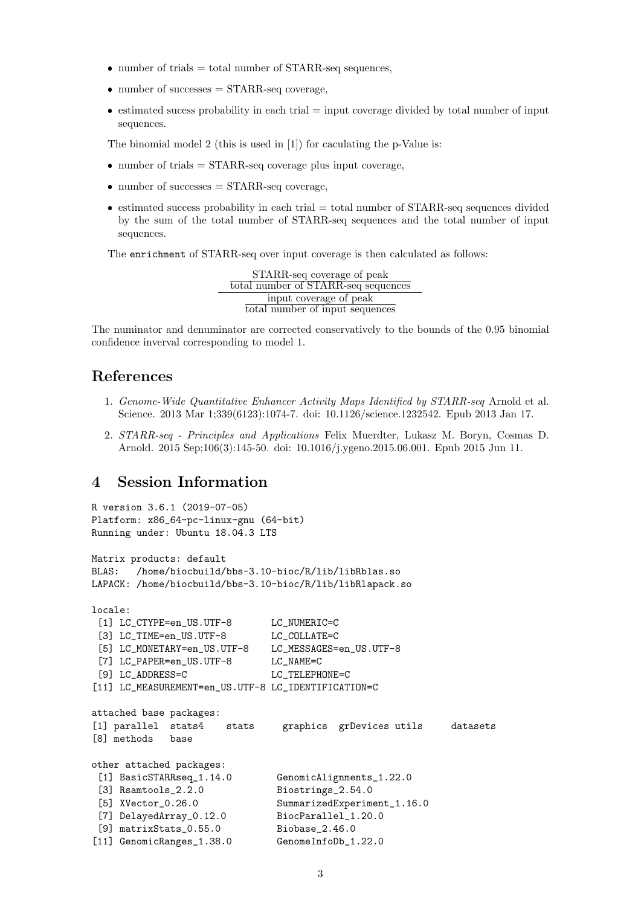- $\bullet$  number of trials = total number of STARR-seq sequences,
- number of successes = STARR-seq coverage,
- $\bullet$  estimated sucess probability in each trial  $=$  input coverage divided by total number of input sequences.

The binomial model 2 (this is used in [1]) for caculating the p-Value is:

- $\bullet$  number of trials = STARR-seq coverage plus input coverage,
- number of successes = STARR-seq coverage,
- $\bullet$  estimated success probability in each trial = total number of STARR-seq sequences divided by the sum of the total number of STARR-seq sequences and the total number of input sequences.

The enrichment of STARR-seq over input coverage is then calculated as follows:

STARR-seq coverage of peak total number of STARR-seq sequences input coverage of peak total number of input sequences

The numinator and denuminator are corrected conservatively to the bounds of the 0.95 binomial confidence inverval corresponding to model 1.

## References

- 1. Genome-Wide Quantitative Enhancer Activity Maps Identified by STARR-seq Arnold et al. Science. 2013 Mar 1;339(6123):1074-7. doi: 10.1126/science.1232542. Epub 2013 Jan 17.
- 2. STARR-seq Principles and Applications Felix Muerdter, Lukasz M. Boryn, Cosmas D. Arnold. 2015 Sep;106(3):145-50. doi: 10.1016/j.ygeno.2015.06.001. Epub 2015 Jun 11.

### 4 Session Information

```
R version 3.6.1 (2019-07-05)
Platform: x86_64-pc-linux-gnu (64-bit)
Running under: Ubuntu 18.04.3 LTS
Matrix products: default
BLAS: /home/biocbuild/bbs-3.10-bioc/R/lib/libRblas.so
LAPACK: /home/biocbuild/bbs-3.10-bioc/R/lib/libRlapack.so
locale:
 [1] LC_CTYPE=en_US.UTF-8 LC_NUMERIC=C
 [3] LC_TIME=en_US.UTF-8 LC_COLLATE=C
 [5] LC_MONETARY=en_US.UTF-8 LC_MESSAGES=en_US.UTF-8
 [7] LC_PAPER=en_US.UTF-8 LC_NAME=C
 [9] LC_ADDRESS=C LC_TELEPHONE=C
[11] LC_MEASUREMENT=en_US.UTF-8 LC_IDENTIFICATION=C
attached base packages:
[1] parallel stats4 stats graphics grDevices utils datasets
[8] methods base
other attached packages:
 [1] BasicSTARRseq_1.14.0 GenomicAlignments_1.22.0
 [3] Rsamtools_2.2.0 Biostrings_2.54.0
 [5] XVector_0.26.0 SummarizedExperiment_1.16.0
 [7] DelayedArray_0.12.0 BiocParallel_1.20.0
 [9] matrixStats_0.55.0 Biobase_2.46.0
[11] GenomicRanges_1.38.0 GenomeInfoDb_1.22.0
```